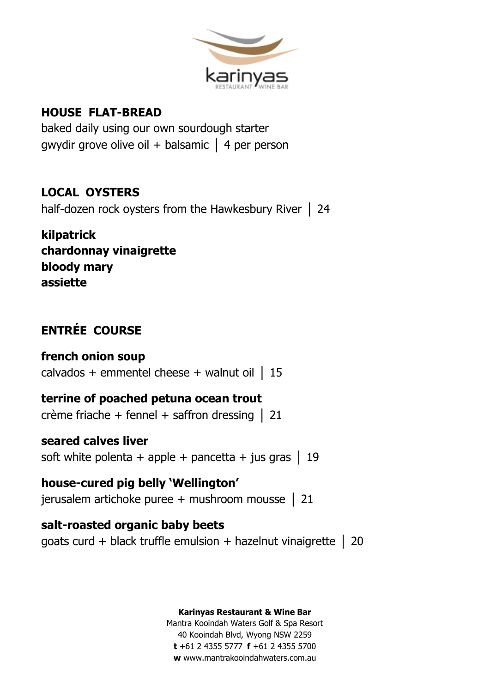

## **HOUSE FLAT-BREAD**

baked daily using our own sourdough starter gwydir grove olive oil + balsamic │ 4 per person

## **LOCAL OYSTERS**

half-dozen rock oysters from the Hawkesbury River | 24

**kilpatrick chardonnay vinaigrette bloody mary assiette**

## **ENTRÉE COURSE**

## **french onion soup**  calvados + emmentel cheese + walnut oil  $\vert$  15

# **terrine of poached petuna ocean trout**

crème friache + fennel + saffron dressing  $\vert$  21

## **seared calves liver**

soft white polenta + apple + pancetta + jus gras  $\vert$  19

# **house-cured pig belly 'Wellington'**

jerusalem artichoke puree + mushroom mousse │ 21

## **salt-roasted organic baby beets**

goats curd + black truffle emulsion + hazelnut vinaigrette │ 20

#### **Karinyas Restaurant & Wine Bar**

Mantra Kooindah Waters Golf & Spa Resort 40 Kooindah Blvd, Wyong NSW 2259 **t** +61 2 4355 5777 **f** +61 2 4355 5700 **w** www.mantrakooindahwaters.com.au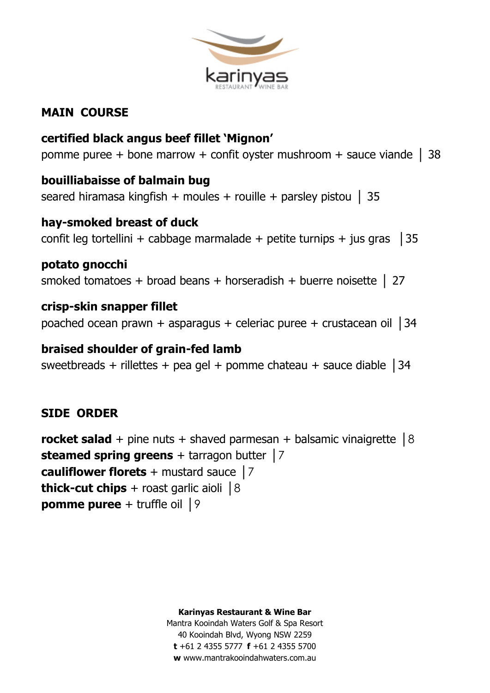

## **MAIN COURSE**

**certified black angus beef fillet 'Mignon'** pomme puree + bone marrow + confit oyster mushroom + sauce viande | 38

## **bouilliabaisse of balmain bug**

seared hiramasa kingfish + moules + rouille + parsley pistou  $\vert$  35

## **hay-smoked breast of duck**

confit leg tortellini + cabbage marmalade + petite turnips + jus gras  $\vert$  35

**potato gnocchi** smoked tomatoes + broad beans + horseradish + buerre noisette | 27

**crisp-skin snapper fillet** poached ocean prawn + asparagus + celeriac puree + crustacean oil │34

#### **braised shoulder of grain-fed lamb**

sweetbreads + rillettes + pea gel + pomme chateau + sauce diable  $\vert$  34

### **SIDE ORDER**

**rocket salad** + pine nuts + shaved parmesan + balsamic vinaigrette │8 **steamed spring greens** + tarragon butter │7 **cauliflower florets** + mustard sauce │7 **thick-cut chips** + roast garlic aioli  $|8|$ **pomme puree** + truffle oil │9

**Karinyas Restaurant & Wine Bar**

Mantra Kooindah Waters Golf & Spa Resort 40 Kooindah Blvd, Wyong NSW 2259 **t** +61 2 4355 5777 **f** +61 2 4355 5700 **w** www.mantrakooindahwaters.com.au